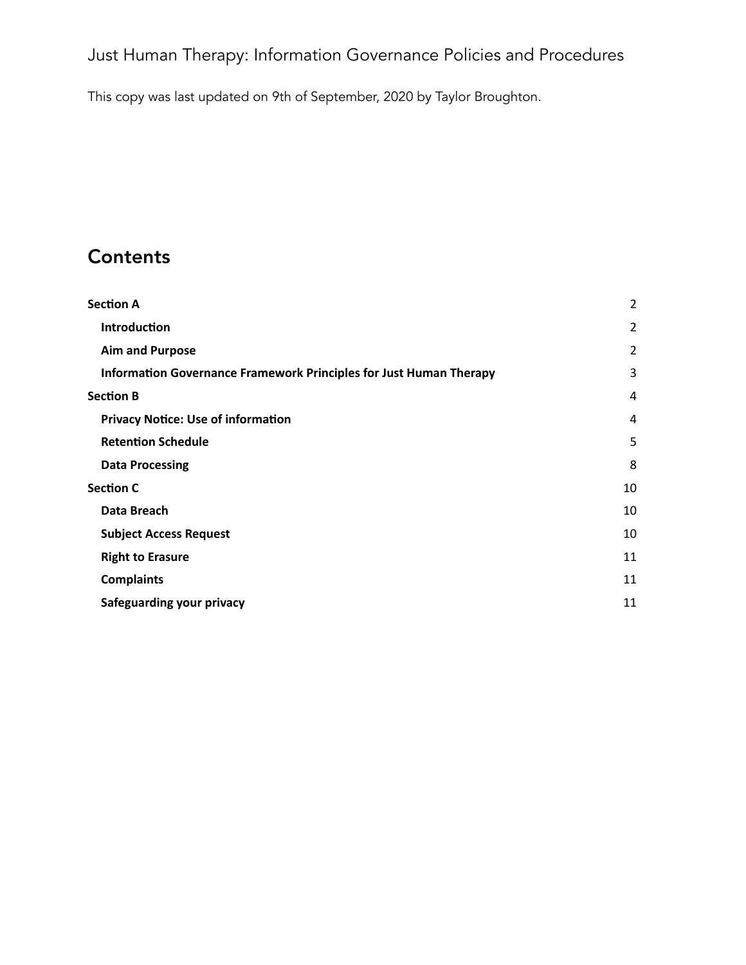This copy was last updated on 9th of September, 2020 by Taylor Broughton.

# **Contents**

| <b>Section A</b>                                                   | $\overline{2}$ |
|--------------------------------------------------------------------|----------------|
| <b>Introduction</b>                                                | $\overline{2}$ |
| <b>Aim and Purpose</b>                                             | $\overline{2}$ |
| Information Governance Framework Principles for Just Human Therapy | 3              |
| <b>Section B</b>                                                   | 4              |
| <b>Privacy Notice: Use of information</b>                          | 4              |
| <b>Retention Schedule</b>                                          | 5              |
| <b>Data Processing</b>                                             | 8              |
| <b>Section C</b>                                                   | 10             |
| Data Breach                                                        | 10             |
| <b>Subject Access Request</b>                                      | 10             |
| <b>Right to Erasure</b>                                            | 11             |
| <b>Complaints</b>                                                  | 11             |
| Safeguarding your privacy                                          | 11             |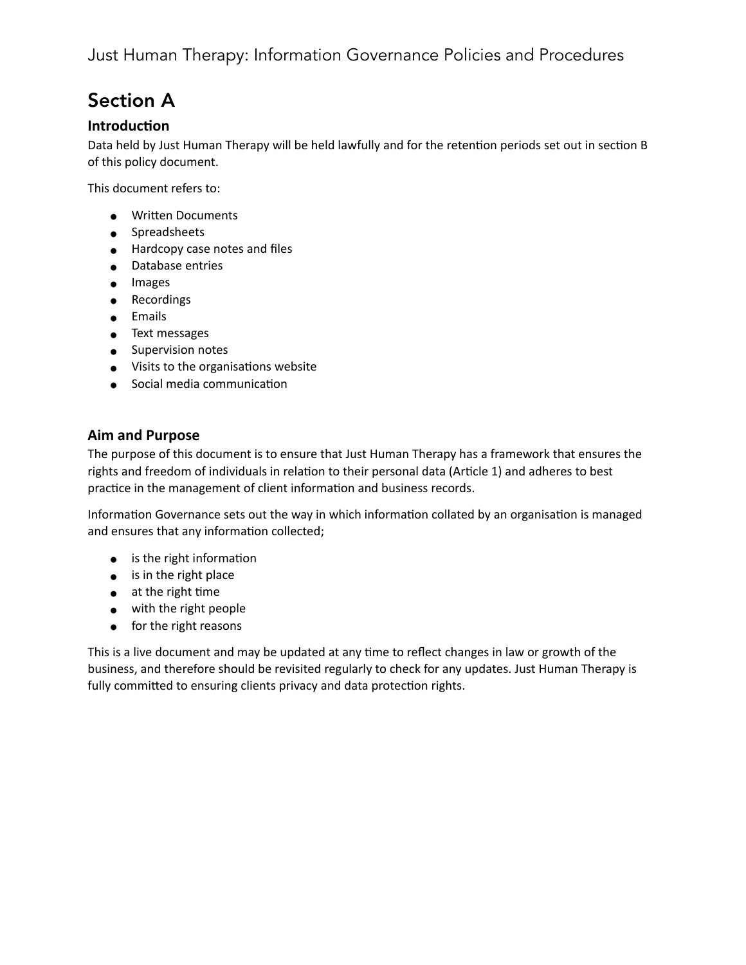# <span id="page-1-0"></span>Section A

### <span id="page-1-1"></span>**Introduction**

Data held by Just Human Therapy will be held lawfully and for the retention periods set out in section B of this policy document.

This document refers to:

- Written Documents
- Spreadsheets
- Hardcopy case notes and files
- Database entries
- Images
- Recordings
- Emails
- Text messages
- Supervision notes
- Visits to the organisations website
- Social media communication

### <span id="page-1-2"></span>**Aim and Purpose**

The purpose of this document is to ensure that Just Human Therapy has a framework that ensures the rights and freedom of individuals in relation to their personal data (Article 1) and adheres to best practice in the management of client information and business records.

Information Governance sets out the way in which information collated by an organisation is managed and ensures that any information collected;

- $\bullet$  is the right information
- is in the right place
- $\bullet$  at the right time
- with the right people
- for the right reasons

This is a live document and may be updated at any time to reflect changes in law or growth of the business, and therefore should be revisited regularly to check for any updates. Just Human Therapy is fully committed to ensuring clients privacy and data protection rights.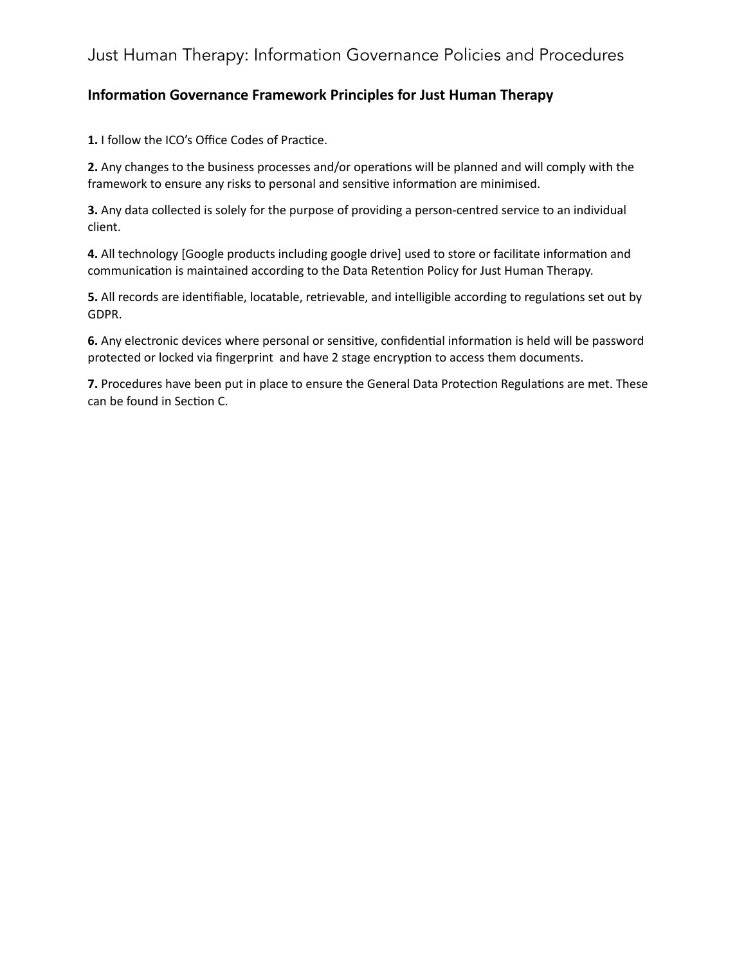### <span id="page-2-0"></span>**Information Governance Framework Principles for Just Human Therapy**

1. I follow the ICO's Office Codes of Practice.

**2.** Any changes to the business processes and/or operations will be planned and will comply with the framework to ensure any risks to personal and sensitive information are minimised.

**3.** Any data collected is solely for the purpose of providing a person-centred service to an individual client.

4. All technology [Google products including google drive] used to store or facilitate information and communication is maintained according to the Data Retention Policy for Just Human Therapy.

**5.** All records are identifiable, locatable, retrievable, and intelligible according to regulations set out by GDPR.

6. Any electronic devices where personal or sensitive, confidential information is held will be password protected or locked via fingerprint and have 2 stage encryption to access them documents.

7. Procedures have been put in place to ensure the General Data Protection Regulations are met. These can be found in Section C.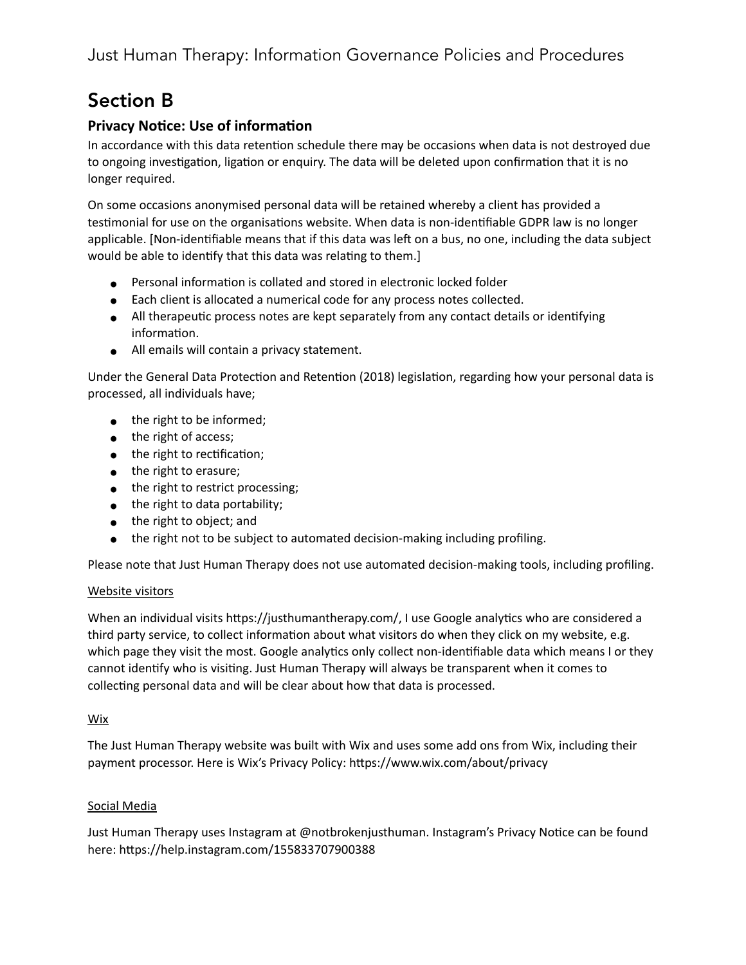# <span id="page-3-0"></span>Section B

## <span id="page-3-1"></span>**Privacy Notice: Use of information**

In accordance with this data retention schedule there may be occasions when data is not destroyed due to ongoing investigation, ligation or enquiry. The data will be deleted upon confirmation that it is no longer required.

On some occasions anonymised personal data will be retained whereby a client has provided a testimonial for use on the organisations website. When data is non-identifiable GDPR law is no longer applicable. [Non-identifiable means that if this data was left on a bus, no one, including the data subject would be able to identify that this data was relating to them.]

- Personal information is collated and stored in electronic locked folder
- Each client is allocated a numerical code for any process notes collected.
- All therapeutic process notes are kept separately from any contact details or identifying information.
- All emails will contain a privacy statement.

Under the General Data Protection and Retention (2018) legislation, regarding how your personal data is processed, all individuals have;

- the right to be informed;
- the right of access;
- $\bullet$  the right to rectification;
- the right to erasure;
- the right to restrict processing;
- $\bullet$  the right to data portability;
- the right to object; and
- the right not to be subject to automated decision-making including profiling.

Please note that Just Human Therapy does not use automated decision-making tools, including profiling.

### Website visitors

When an individual visits https://justhumantherapy.com/, I use Google analytics who are considered a third party service, to collect information about what visitors do when they click on my website, e.g. which page they visit the most. Google analytics only collect non-identifiable data which means I or they cannot identify who is visiting. Just Human Therapy will always be transparent when it comes to collecting personal data and will be clear about how that data is processed.

#### Wix

The Just Human Therapy website was built with Wix and uses some add ons from Wix, including their payment processor. Here is Wix's Privacy Policy: https://www.wix.com/about/privacy

### Social Media

Just Human Therapy uses Instagram at @notbrokenjusthuman. Instagram's Privacy Notice can be found here: https://help.instagram.com/155833707900388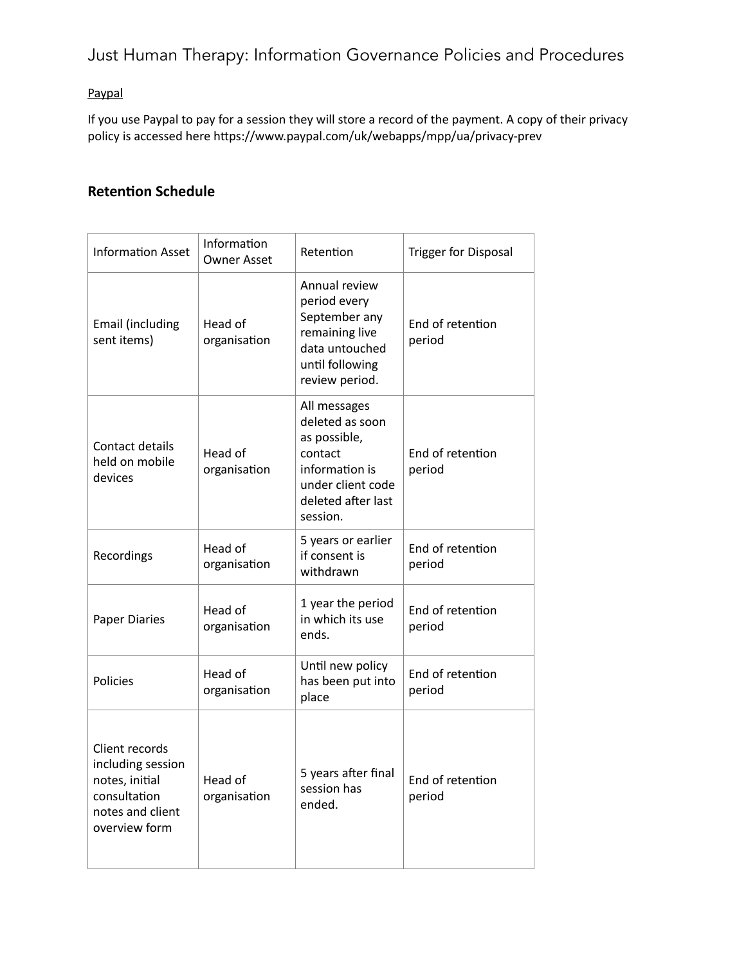### Paypal

If you use Paypal to pay for a session they will store a record of the payment. A copy of their privacy policy is accessed here https://www.paypal.com/uk/webapps/mpp/ua/privacy-prev

## <span id="page-4-0"></span>**Retention Schedule**

| <b>Information Asset</b>                                                                                   | Information<br><b>Owner Asset</b> | Retention                                                                                                                           | <b>Trigger for Disposal</b> |
|------------------------------------------------------------------------------------------------------------|-----------------------------------|-------------------------------------------------------------------------------------------------------------------------------------|-----------------------------|
| Email (including<br>sent items)                                                                            | Head of<br>organisation           | Annual review<br>period every<br>September any<br>remaining live<br>data untouched<br>until following<br>review period.             | End of retention<br>period  |
| Contact details<br>held on mobile<br>devices                                                               | Head of<br>organisation           | All messages<br>deleted as soon<br>as possible,<br>contact<br>information is<br>under client code<br>deleted after last<br>session. | End of retention<br>period  |
| Recordings                                                                                                 | Head of<br>organisation           | 5 years or earlier<br>if consent is<br>withdrawn                                                                                    | End of retention<br>period  |
| <b>Paper Diaries</b>                                                                                       | Head of<br>organisation           | 1 year the period<br>in which its use<br>ends.                                                                                      | End of retention<br>period  |
| Policies                                                                                                   | Head of<br>organisation           | Until new policy<br>has been put into<br>place                                                                                      | End of retention<br>period  |
| Client records<br>including session<br>notes, initial<br>consultation<br>notes and client<br>overview form | Head of<br>organisation           | 5 years after final<br>session has<br>ended.                                                                                        | End of retention<br>period  |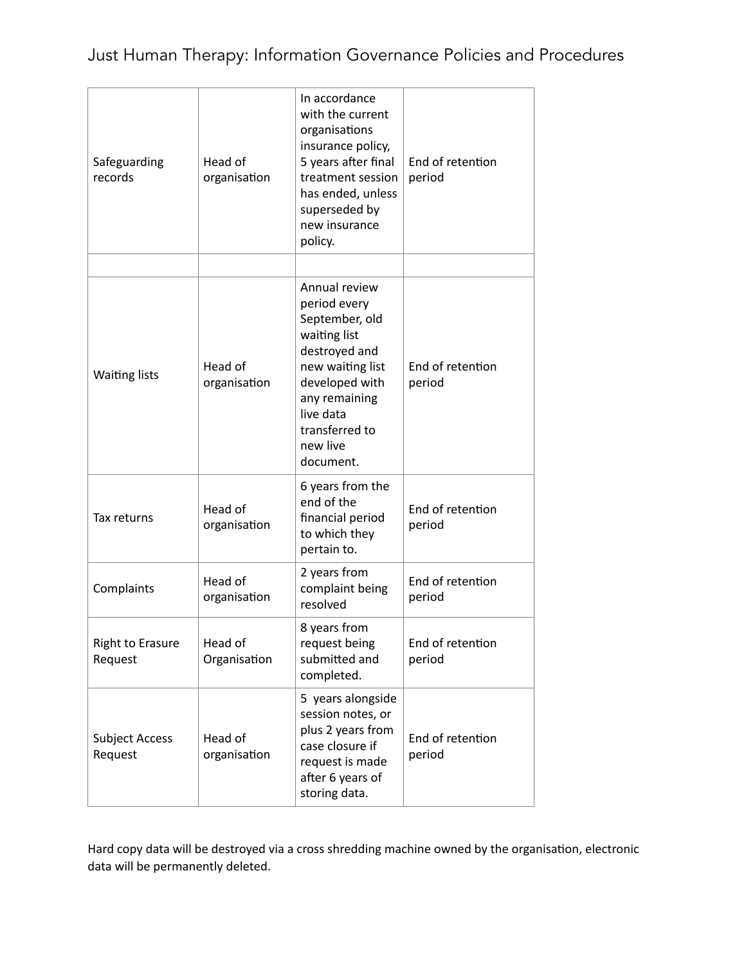| Safeguarding<br>records            | Head of<br>organisation | In accordance<br>with the current<br>organisations<br>insurance policy,<br>5 years after final<br>treatment session<br>has ended, unless<br>superseded by<br>new insurance<br>policy.           | End of retention<br>period |
|------------------------------------|-------------------------|-------------------------------------------------------------------------------------------------------------------------------------------------------------------------------------------------|----------------------------|
| <b>Waiting lists</b>               | Head of<br>organisation | Annual review<br>period every<br>September, old<br>waiting list<br>destroyed and<br>new waiting list<br>developed with<br>any remaining<br>live data<br>transferred to<br>new live<br>document. | End of retention<br>period |
| Tax returns                        | Head of<br>organisation | 6 years from the<br>end of the<br>financial period<br>to which they<br>pertain to.                                                                                                              | End of retention<br>period |
| Complaints                         | Head of<br>organisation | 2 years from<br>complaint being<br>resolved                                                                                                                                                     | End of retention<br>period |
| <b>Right to Erasure</b><br>Request | Head of<br>Organisation | 8 years from<br>request being<br>submitted and<br>completed.                                                                                                                                    | End of retention<br>period |
| <b>Subject Access</b><br>Request   | Head of<br>organisation | 5 years alongside<br>session notes, or<br>plus 2 years from<br>case closure if<br>request is made<br>after 6 years of<br>storing data.                                                          | End of retention<br>period |

Hard copy data will be destroyed via a cross shredding machine owned by the organisation, electronic data will be permanently deleted.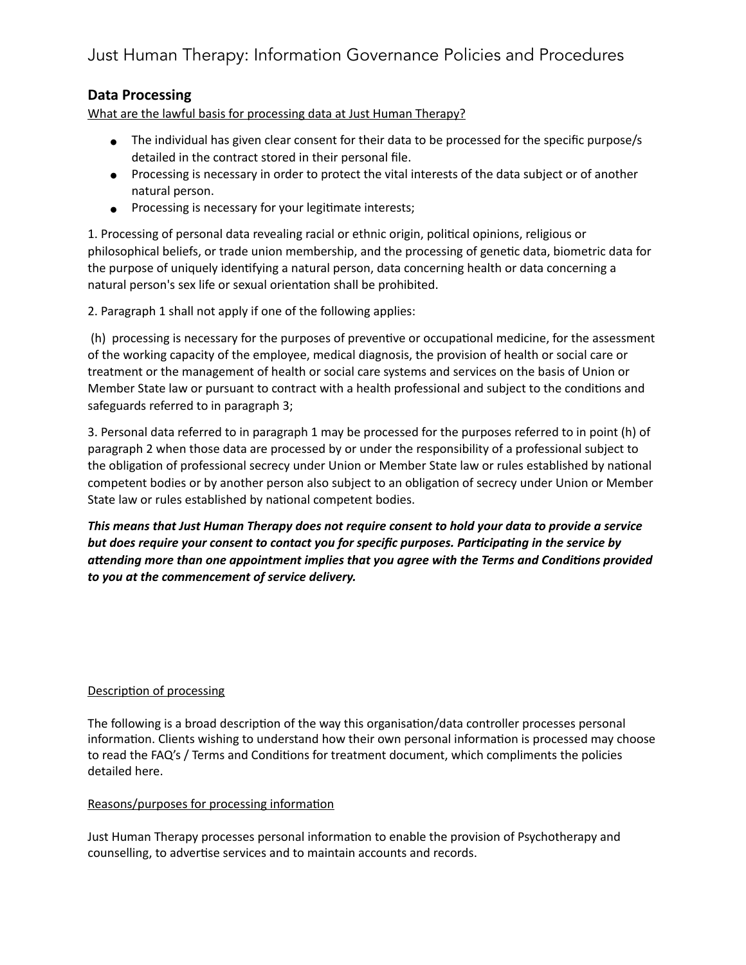### <span id="page-6-0"></span>**Data Processing**

What are the lawful basis for processing data at Just Human Therapy?

- The individual has given clear consent for their data to be processed for the specific purpose/s detailed in the contract stored in their personal file.
- Processing is necessary in order to protect the vital interests of the data subject or of another natural person.
- Processing is necessary for your legitimate interests;

1. Processing of personal data revealing racial or ethnic origin, political opinions, religious or philosophical beliefs, or trade union membership, and the processing of genetic data, biometric data for the purpose of uniquely identifying a natural person, data concerning health or data concerning a natural person's sex life or sexual orientation shall be prohibited.

2. Paragraph 1 shall not apply if one of the following applies:

(h) processing is necessary for the purposes of preventive or occupational medicine, for the assessment of the working capacity of the employee, medical diagnosis, the provision of health or social care or treatment or the management of health or social care systems and services on the basis of Union or Member State law or pursuant to contract with a health professional and subject to the conditions and safeguards referred to in paragraph 3;

3. Personal data referred to in paragraph 1 may be processed for the purposes referred to in point (h) of paragraph 2 when those data are processed by or under the responsibility of a professional subject to the obligation of professional secrecy under Union or Member State law or rules established by national competent bodies or by another person also subject to an obligation of secrecy under Union or Member State law or rules established by national competent bodies.

*This means that Just Human Therapy does not require consent to hold your data to provide a service*  but does require your consent to contact you for specific purposes. Participating in the service by attending more than one appointment implies that you agree with the Terms and Conditions provided *to you at the commencement of service delivery.* 

#### Description of processing

The following is a broad description of the way this organisation/data controller processes personal information. Clients wishing to understand how their own personal information is processed may choose to read the FAQ's / Terms and Conditions for treatment document, which compliments the policies detailed here.

#### Reasons/purposes for processing information

Just Human Therapy processes personal information to enable the provision of Psychotherapy and counselling, to advertise services and to maintain accounts and records.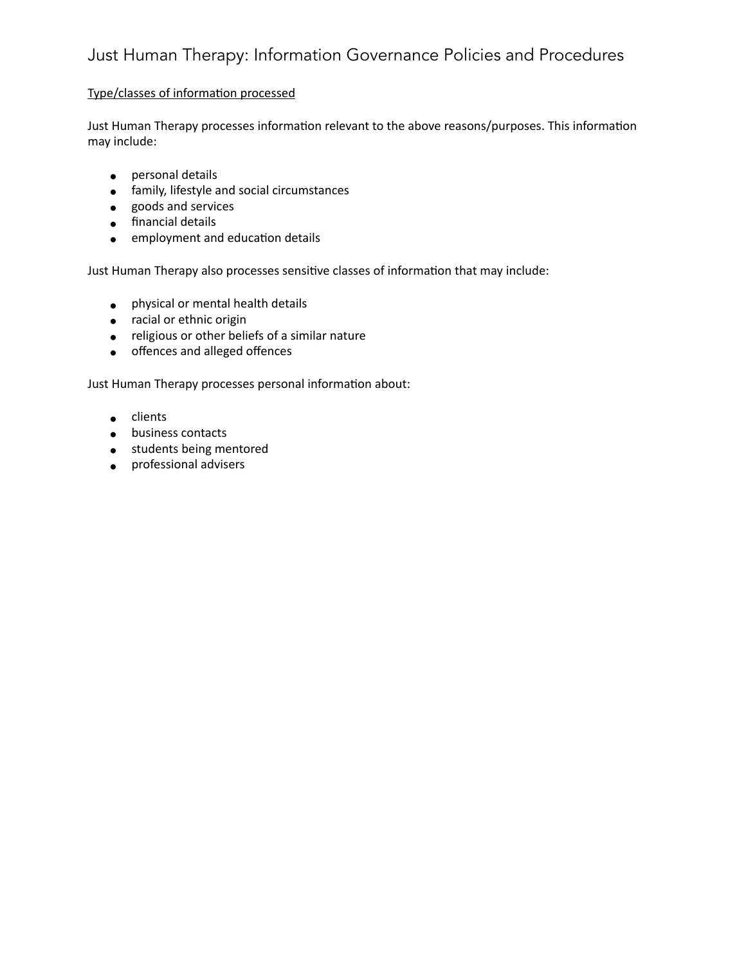#### Type/classes of information processed

Just Human Therapy processes information relevant to the above reasons/purposes. This information may include:

- personal details
- family, lifestyle and social circumstances
- goods and services
- financial details
- employment and education details

Just Human Therapy also processes sensitive classes of information that may include:

- physical or mental health details
- racial or ethnic origin
- religious or other beliefs of a similar nature
- offences and alleged offences

Just Human Therapy processes personal information about:

- clients
- business contacts
- students being mentored
- professional advisers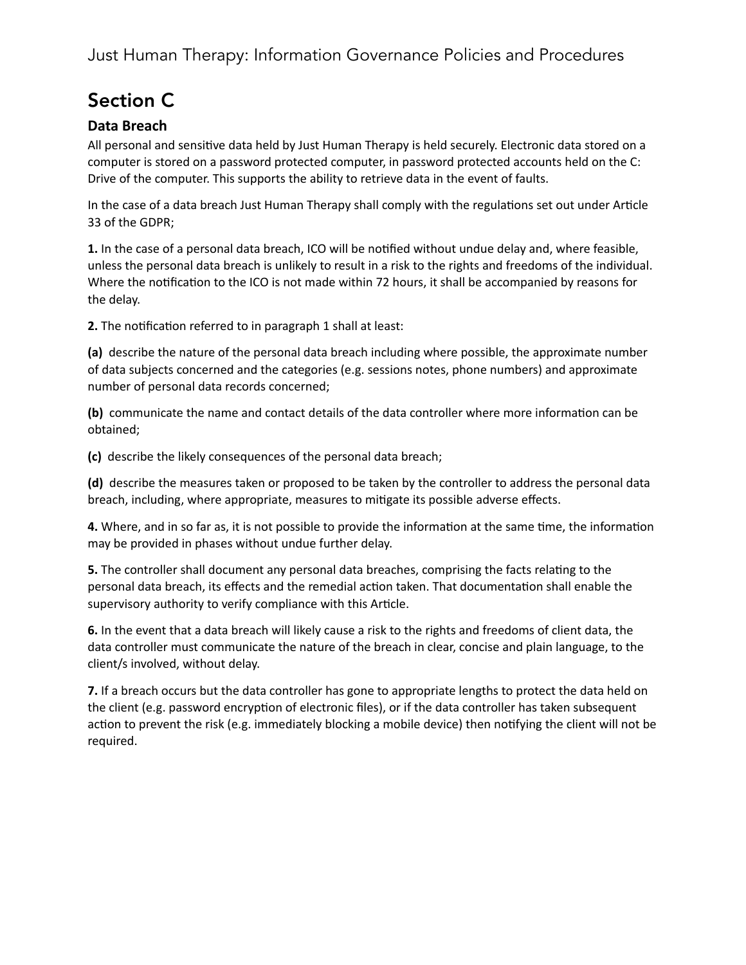# <span id="page-8-0"></span>Section C

## <span id="page-8-1"></span>**Data Breach**

All personal and sensitive data held by Just Human Therapy is held securely. Electronic data stored on a computer is stored on a password protected computer, in password protected accounts held on the C: Drive of the computer. This supports the ability to retrieve data in the event of faults.

In the case of a data breach Just Human Therapy shall comply with the regulations set out under Article 33 of the GDPR;

**1.** In the case of a personal data breach, ICO will be notified without undue delay and, where feasible, unless the personal data breach is unlikely to result in a risk to the rights and freedoms of the individual. Where the notification to the ICO is not made within 72 hours, it shall be accompanied by reasons for the delay.

**2.** The notification referred to in paragraph 1 shall at least:

**(a)** describe the nature of the personal data breach including where possible, the approximate number of data subjects concerned and the categories (e.g. sessions notes, phone numbers) and approximate number of personal data records concerned;

(b) communicate the name and contact details of the data controller where more information can be obtained;

**(c)** describe the likely consequences of the personal data breach;

**(d)** describe the measures taken or proposed to be taken by the controller to address the personal data breach, including, where appropriate, measures to mitigate its possible adverse effects.

**4.** Where, and in so far as, it is not possible to provide the information at the same time, the information may be provided in phases without undue further delay.

**5.** The controller shall document any personal data breaches, comprising the facts relating to the personal data breach, its effects and the remedial action taken. That documentation shall enable the supervisory authority to verify compliance with this Article.

**6.** In the event that a data breach will likely cause a risk to the rights and freedoms of client data, the data controller must communicate the nature of the breach in clear, concise and plain language, to the client/s involved, without delay.

**7.** If a breach occurs but the data controller has gone to appropriate lengths to protect the data held on the client (e.g. password encryption of electronic files), or if the data controller has taken subsequent action to prevent the risk (e.g. immediately blocking a mobile device) then notifying the client will not be required.